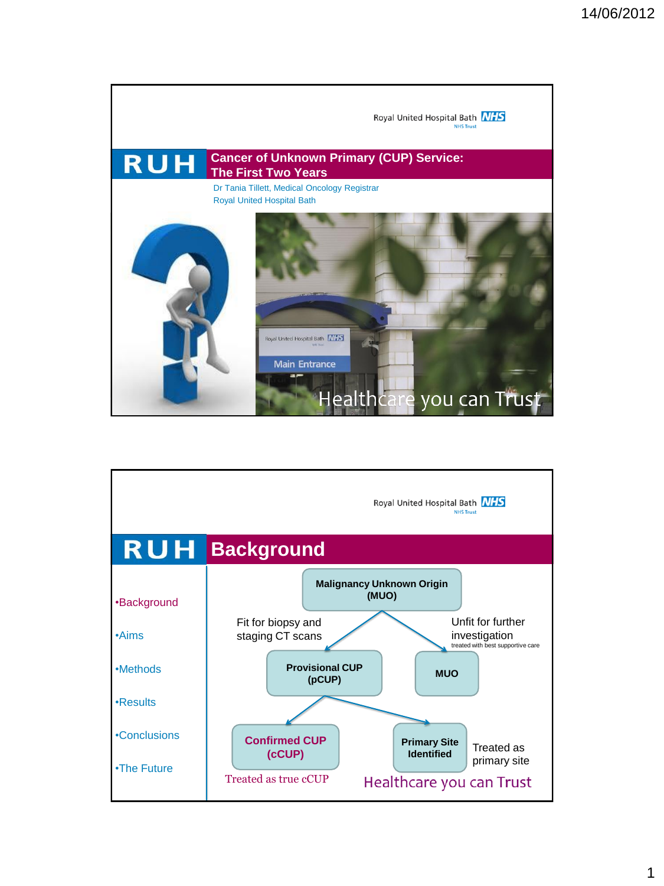

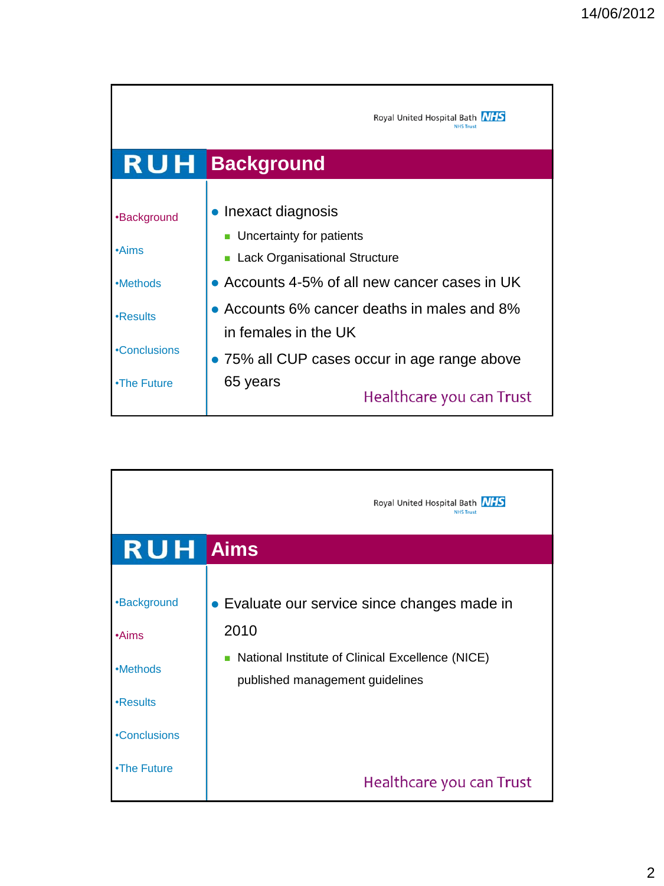|              | Royal United Hospital Bath MHS<br><b>IHS Trust</b>                  |
|--------------|---------------------------------------------------------------------|
|              | <b>RUH Background</b>                                               |
|              | • Inexact diagnosis                                                 |
| •Background  | Uncertainty for patients                                            |
| $\cdot$ Aims | Lack Organisational Structure                                       |
| •Methods     | • Accounts 4-5% of all new cancer cases in UK                       |
| •Results     | • Accounts 6% cancer deaths in males and 8%<br>in females in the UK |
| •Conclusions | • 75% all CUP cases occur in age range above                        |
| •The Future  | 65 years<br>Healthcare you can Trust                                |

|                    | Royal United Hospital Bath NHS<br><b>NHS Trust</b>                                  |
|--------------------|-------------------------------------------------------------------------------------|
| <b>RUH</b> Aims    |                                                                                     |
|                    |                                                                                     |
| <b>•Background</b> | • Evaluate our service since changes made in                                        |
| $\cdot$ Aims       | 2010                                                                                |
| •Methods           | National Institute of Clinical Excellence (NICE)<br>published management guidelines |
| •Results           |                                                                                     |
| •Conclusions       |                                                                                     |
| •The Future        | Healthcare you can Trust                                                            |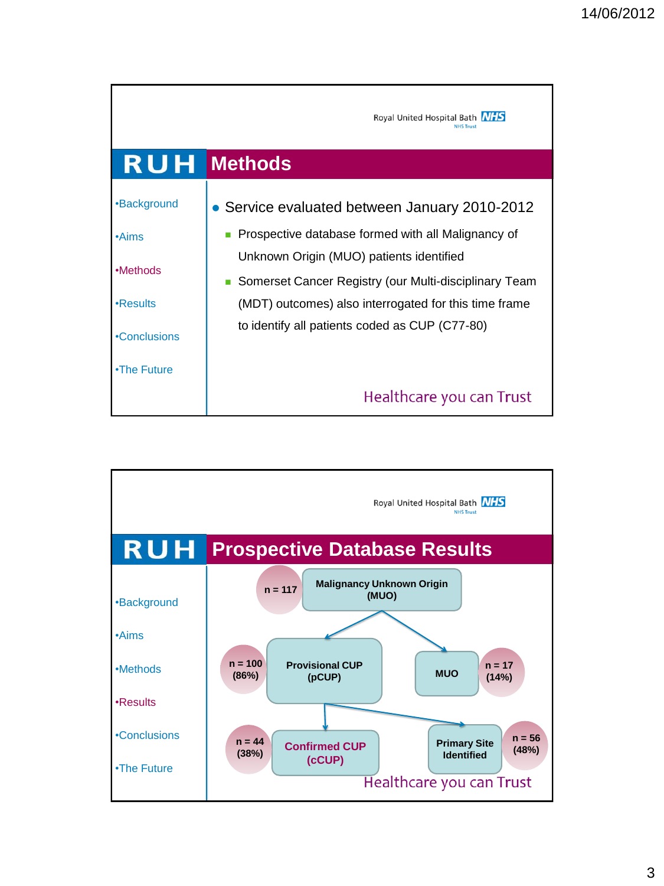|              | Royal United Hospital Bath MHS<br><b>NHS Trust</b>                                                |
|--------------|---------------------------------------------------------------------------------------------------|
|              | <b>RUH</b> Methods                                                                                |
| •Background  | • Service evaluated between January 2010-2012                                                     |
| $\cdot$ Aims | Prospective database formed with all Malignancy of                                                |
| •Methods     | Unknown Origin (MUO) patients identified<br>Somerset Cancer Registry (our Multi-disciplinary Team |
| •Results     | (MDT) outcomes) also interrogated for this time frame                                             |
| •Conclusions | to identify all patients coded as CUP (C77-80)                                                    |
| •The Future  |                                                                                                   |
|              | Healthcare you can Trust                                                                          |

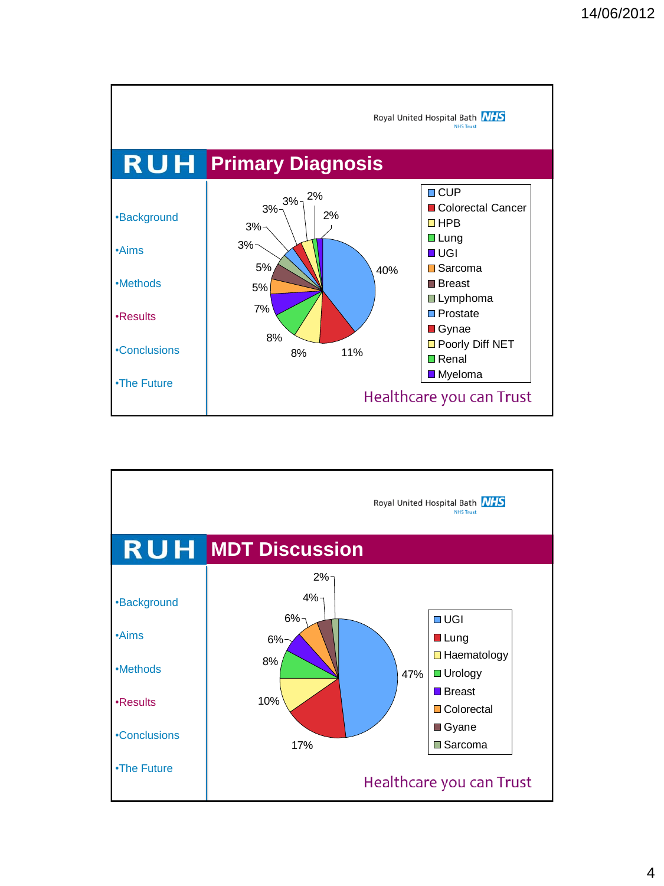

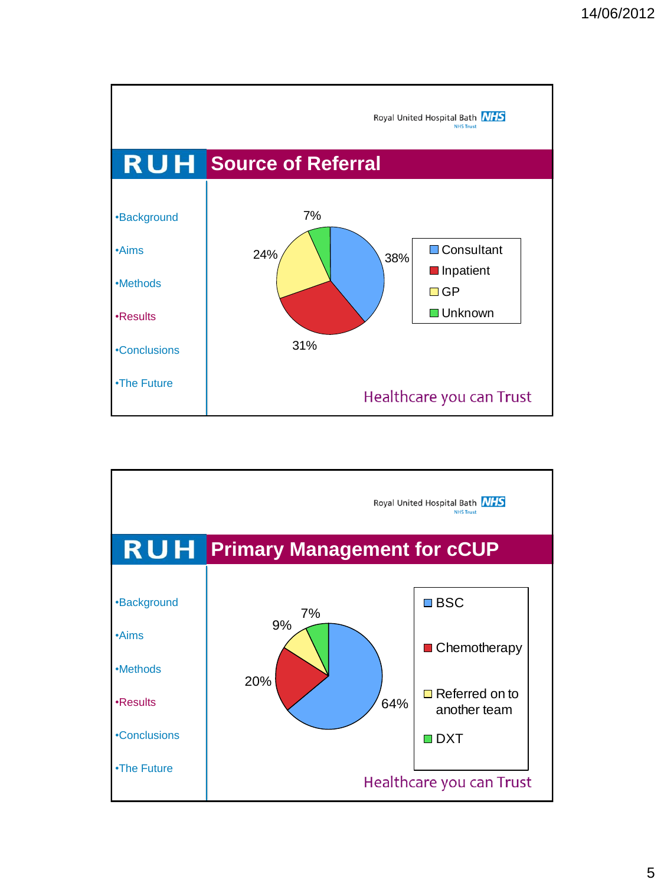

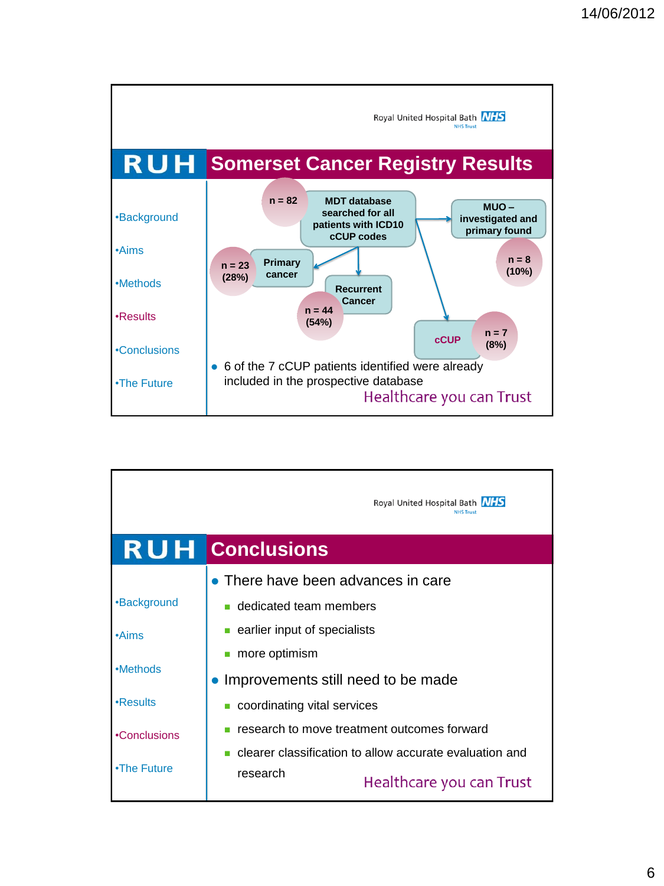

|              | Royal United Hospital Bath [N/FS]<br><b>NHS Trust</b>   |
|--------------|---------------------------------------------------------|
|              | <b>RUH Conclusions</b>                                  |
|              | • There have been advances in care                      |
| •Background  | ■ dedicated team members                                |
| $\cdot$ Aims | earlier input of specialists                            |
|              | more optimism                                           |
| •Methods     | Improvements still need to be made                      |
| •Results     | coordinating vital services                             |
| •Conclusions | research to move treatment outcomes forward             |
|              | clearer classification to allow accurate evaluation and |
| •The Future  | research<br>Healthcare you can Trust                    |